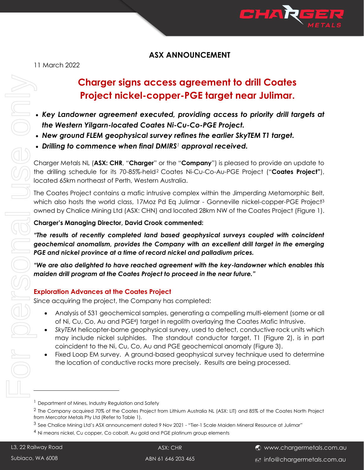

## **ASX ANNOUNCEMENT**

# **Charger signs access agreement to drill Coates Project nickel-copper-PGE target near Julimar.**

- *Key Landowner agreement executed, providing access to priority drill targets at the Western Yilgarn-located Coates Ni-Cu-Co-PGE Project.*
- *New ground FLEM geophysical survey refines the earlier SkyTEM T1 target.*
- *Drilling to commence when final DMIRS<sup>1</sup> approval received.*

Charger Metals NL (**ASX: CHR**, "**Charger**" or the "**Company**") is pleased to provide an update to the drilling schedule for its 70-85%-held<sup>2</sup> Coates Ni-Cu-Co-Au-PGE Project ("**Coates Project"**), located 65km northeast of Perth, Western Australia.

The Coates Project contains a mafic intrusive complex within the Jimperding Metamorphic Belt, which also hosts the world class, 17Moz Pd Eq Julimar - Gonneville nickel-copper-PGE Project<sup>3</sup> owned by Chalice Mining Ltd (ASX: CHN) and located 28km NW of the Coates Project (Figure 1).

#### **Charger's Managing Director, David Crook commented:**

*"The results of recently completed land based geophysical surveys coupled with coincident geochemical anomalism, provides the Company with an excellent drill target in the emerging PGE and nickel province at a time of record nickel and palladium prices.*

*"We are also delighted to have reached agreement with the key-landowner which enables this maiden drill program at the Coates Project to proceed in the near future."* 

#### **Exploration Advances at the Coates Project**

Since acquiring the project, the Company has completed:

- Analysis of 531 geochemical samples, generating a compelling multi-element (some or all of Ni, Cu, Co, Au and PGE4) target in regolith overlaying the Coates Mafic Intrusive.
- *SkyTEM* helicopter-borne geophysical survey, used to detect, conductive rock units which may include nickel sulphides. The standout conductor target, T1 (Figure 2), is in part coincident to the Ni, Cu, Co, Au and PGE geochemical anomaly (Figure 3).
- Fixed Loop EM survey. A ground-based geophysical survey technique used to determine the location of conductive rocks more precisely. Results are being processed.

ASX: CHR ABN 61 646 203 465

<sup>&</sup>lt;sup>1</sup> Department of Mines, Industry Regulation and Safety

<sup>&</sup>lt;sup>2</sup> The Company acquired 70% of the Coates Project from Lithium Australia NL (ASX: LIT) and 85% of the Coates North Project from Mercator Metals Pty Ltd (Refer to Table 1).

<sup>3</sup> See Chalice Mining Ltd's ASX announcement dated 9 Nov 2021 - "Tier-1 Scale Maiden Mineral Resource at Julimar"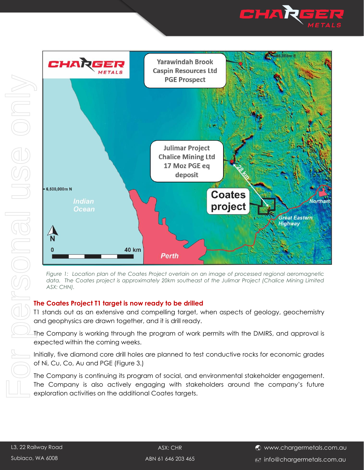



*Figure 1: Location plan of the Coates Project overlain on an image of processed regional aeromagnetic* data. The Coates project is approximately 20km southeast of the Julimar Project (Chalice Mining Limited *ASX: CHN).*

#### **The Coates Project T1 target is now ready to be drilled**

T1 stands out as an extensive and compelling target, when aspects of geology, geochemistry and geophysics are drawn together, and it is drill ready.

The Company is working through the program of work permits with the DMIRS, and approval is expected within the coming weeks.

Initially, five diamond core drill holes are planned to test conductive rocks for economic grades of Ni, Cu, Co, Au and PGE (Figure 3.)

The Company is continuing its program of social, and environmental stakeholder engagement.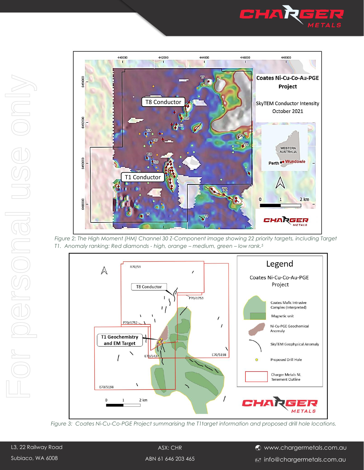



*Figure 2: The High Moment (HM) Channel 30 Z-Component image showing 22 priority targets, including Target T1. Anomaly ranking: Red diamonds - high, orange – medium, green – low rank.<sup>5</sup>*



*Figure 3: Coates Ni-Cu-Co-PGE Project summarising the T1target information and proposed drill hole locations.*

ASX: CHR ABN 61 646 203 465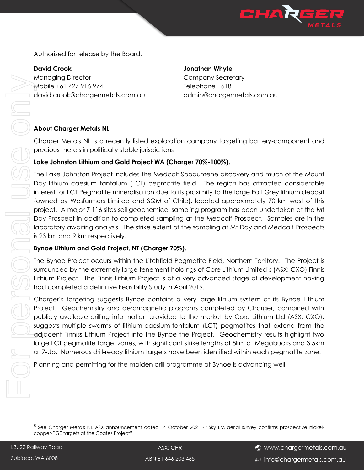

Authorised for release by the Board.

Managing Director **Company Secretary** Mobile +61 427 916 974 Telephone +618 david.crook@chargermetals.com.au admin@chargermetals.com.au

#### **David Crook Jonathan Whyte**

### **About Charger Metals NL**

Charger Metals NL is a recently listed exploration company targeting battery-component and precious metals in politically stable jurisdictions

### **Lake Johnston Lithium and Gold Project WA (Charger 70%-100%).**

The Lake Johnston Project includes the Medcalf Spodumene discovery and much of the Mount Day lithium caesium tantalum (LCT) pegmatite field. The region has attracted considerable interest for LCT Pegmatite mineralisation due to its proximity to the large Earl Grey lithium deposit (owned by Wesfarmers Limited and SQM of Chile), located approximately 70 km west of this project. A major 7,116 sites soil geochemical sampling program has been undertaken at the Mt Day Prospect in addition to completed sampling at the Medcalf Prospect. Samples are in the laboratory awaiting analysis. The strike extent of the sampling at Mt Day and Medcalf Prospects is 23 km and 9 km respectively.

### **Bynoe Lithium and Gold Project, NT (Charger 70%).**

The Bynoe Project occurs within the Litchfield Pegmatite Field, Northern Territory. The Project is surrounded by the extremely large tenement holdings of Core Lithium Limited's (ASX: CXO) Finnis Lithium Project. The Finnis Lithium Project is at a very advanced stage of development having had completed a definitive Feasibility Study in April 2019.

Charger's targeting suggests Bynoe contains a very large lithium system at its Bynoe Lithium Project. Geochemistry and aeromagnetic programs completed by Charger, combined with publicly available drilling information provided to the market by Core Lithium Ltd (ASX: CXO), suggests multiple swarms of lithium-caesium-tantalum (LCT) pegmatites that extend from the adjacent Finniss Lithium Project into the Bynoe the Project. Geochemistry results highlight two large LCT pegmatite target zones, with significant strike lengths of 8km at Megabucks and 3.5km at 7-Up. Numerous drill-ready lithium targets have been identified within each pegmatite zone.

Planning and permitting for the maiden drill programme at Bynoe is advancing well.

ASX: CHR

<sup>5</sup> See Charger Metals NL ASX announcement dated 14 October 2021 - "SkyTEM aerial survey confirms prospective nickel-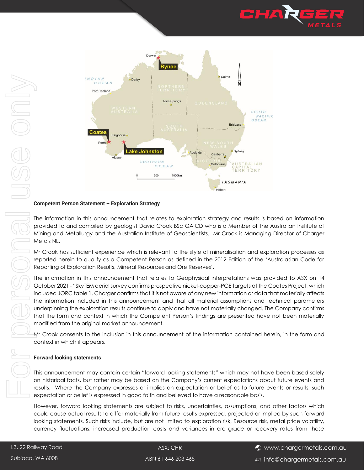



#### **Competent Person Statement – Exploration Strategy**

The information in this announcement that relates to exploration strategy and results is based on information provided to and compiled by geologist David Crook BSc GAICD who is a Member of The Australian Institute of Mining and Metallurgy and the Australian Institute of Geoscientists. Mr Crook is Managing Director of Charger Metals NL.

Mr Crook has sufficient experience which is relevant to the style of mineralisation and exploration processes as reported herein to qualify as a Competent Person as defined in the 2012 Edition of the 'Australasian Code for Reporting of Exploration Results, Mineral Resources and Ore Reserves'.

The information in this announcement that relates to Geophysical interpretations was provided to ASX on 14 October 2021 - "SkyTEM aerial survey confirms prospective nickel-copper-PGE targets at the Coates Project, which included JORC table 1. Charger confirms that it is not aware of any new information or data that materially affects the information included in this announcement and that all material assumptions and technical parameters underpinning the exploration results continue to apply and have not materially changed. The Company confirms that the form and context in which the Competent Person's findings are presented have not been materially modified from the original market announcement.

Mr Crook consents to the inclusion in this announcement of the information contained herein, in the form and context in which it appears.

#### **Forward looking statements**

This announcement may contain certain "forward looking statements" which may not have been based solely on historical facts, but rather may be based on the Company's current expectations about future events and results. Where the Company expresses or implies an expectation or belief as to future events or results, such expectation or belief is expressed in good faith and believed to have a reasonable basis.

However, forward looking statements are subject to risks, uncertainties, assumptions, and other factors which could cause actual results to differ materially from future results expressed, projected or implied by such forward looking statements. Such risks include, but are not limited to exploration risk, Resource risk, metal price volatility,